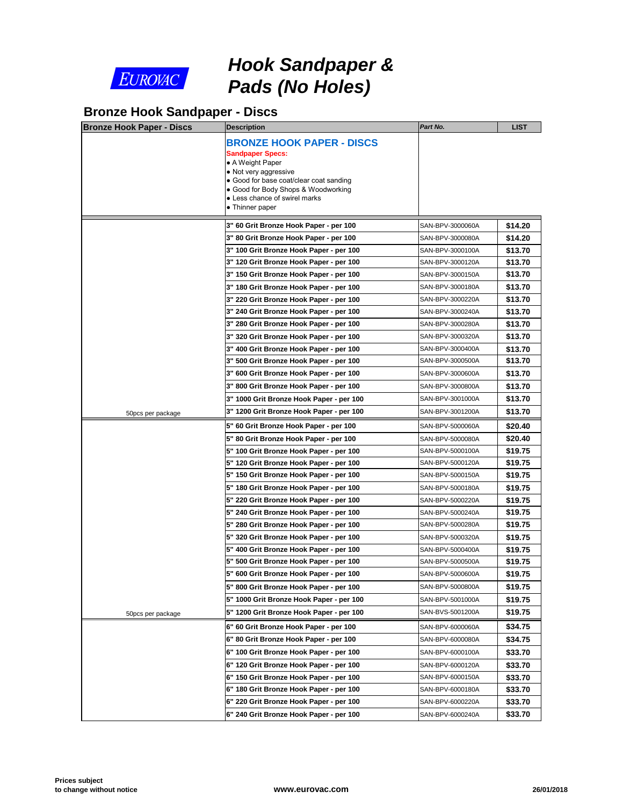

# *Hook Sandpaper & Pads (No Holes)*

### **Bronze Hook Sandpaper - Discs**

| <b>Bronze Hook Paper - Discs</b> | <b>Description</b>                                                                                                                                                                                                                             | Part No.                             |
|----------------------------------|------------------------------------------------------------------------------------------------------------------------------------------------------------------------------------------------------------------------------------------------|--------------------------------------|
|                                  | <b>BRONZE HOOK PAPER - DISCS</b><br><b>Sandpaper Specs:</b><br>• A Weight Paper<br>• Not very aggressive<br>• Good for base coat/clear coat sanding<br>• Good for Body Shops & Woodworking<br>• Less chance of swirel marks<br>• Thinner paper |                                      |
|                                  | 3" 60 Grit Bronze Hook Paper - per 100                                                                                                                                                                                                         | SAN-BPV-3000060A                     |
|                                  | 3" 80 Grit Bronze Hook Paper - per 100                                                                                                                                                                                                         | SAN-BPV-3000080A                     |
|                                  | 3" 100 Grit Bronze Hook Paper - per 100                                                                                                                                                                                                        | SAN-BPV-3000100A                     |
|                                  | 3" 120 Grit Bronze Hook Paper - per 100                                                                                                                                                                                                        | SAN-BPV-3000120A                     |
|                                  | 3" 150 Grit Bronze Hook Paper - per 100                                                                                                                                                                                                        | SAN-BPV-3000150A                     |
|                                  | 3" 180 Grit Bronze Hook Paper - per 100                                                                                                                                                                                                        | SAN-BPV-3000180A                     |
|                                  | 3" 220 Grit Bronze Hook Paper - per 100                                                                                                                                                                                                        | SAN-BPV-3000220A                     |
|                                  | 3" 240 Grit Bronze Hook Paper - per 100                                                                                                                                                                                                        | SAN-BPV-3000240A                     |
|                                  | 3" 280 Grit Bronze Hook Paper - per 100                                                                                                                                                                                                        | SAN-BPV-3000280A                     |
|                                  | 3" 320 Grit Bronze Hook Paper - per 100                                                                                                                                                                                                        | SAN-BPV-3000320A                     |
|                                  | 3" 400 Grit Bronze Hook Paper - per 100<br>3" 500 Grit Bronze Hook Paper - per 100                                                                                                                                                             | SAN-BPV-3000400A<br>SAN-BPV-3000500A |
|                                  | 3" 600 Grit Bronze Hook Paper - per 100                                                                                                                                                                                                        | SAN-BPV-3000600A                     |
|                                  | 3" 800 Grit Bronze Hook Paper - per 100                                                                                                                                                                                                        | SAN-BPV-3000800A                     |
|                                  | 3" 1000 Grit Bronze Hook Paper - per 100                                                                                                                                                                                                       | SAN-BPV-3001000A                     |
|                                  | 3" 1200 Grit Bronze Hook Paper - per 100                                                                                                                                                                                                       | SAN-BPV-3001200A                     |
| 50pcs per package                |                                                                                                                                                                                                                                                |                                      |
|                                  | 5" 60 Grit Bronze Hook Paper - per 100                                                                                                                                                                                                         | SAN-BPV-5000060A                     |
|                                  | 5" 80 Grit Bronze Hook Paper - per 100                                                                                                                                                                                                         | SAN-BPV-5000080A<br>SAN-BPV-5000100A |
|                                  | 5" 100 Grit Bronze Hook Paper - per 100<br>5" 120 Grit Bronze Hook Paper - per 100                                                                                                                                                             | SAN-BPV-5000120A                     |
|                                  | 5" 150 Grit Bronze Hook Paper - per 100                                                                                                                                                                                                        | SAN-BPV-5000150A                     |
|                                  | 5" 180 Grit Bronze Hook Paper - per 100                                                                                                                                                                                                        | SAN-BPV-5000180A                     |
|                                  | 5" 220 Grit Bronze Hook Paper - per 100                                                                                                                                                                                                        | SAN-BPV-5000220A                     |
|                                  | 5" 240 Grit Bronze Hook Paper - per 100                                                                                                                                                                                                        | SAN-BPV-5000240A                     |
|                                  | 5" 280 Grit Bronze Hook Paper - per 100                                                                                                                                                                                                        | SAN-BPV-5000280A                     |
|                                  | 5" 320 Grit Bronze Hook Paper - per 100                                                                                                                                                                                                        | SAN-BPV-5000320A                     |
|                                  | 5" 400 Grit Bronze Hook Paper - per 100                                                                                                                                                                                                        | SAN-BPV-5000400A                     |
|                                  | 5" 500 Grit Bronze Hook Paper - per 100                                                                                                                                                                                                        | SAN-BPV-5000500A                     |
|                                  | 5" 600 Grit Bronze Hook Paper - per 100                                                                                                                                                                                                        | SAN-BPV-5000600A                     |
|                                  | 5" 800 Grit Bronze Hook Paper - per 100                                                                                                                                                                                                        | SAN-BPV-5000800A                     |
|                                  | 5" 1000 Grit Bronze Hook Paper - per 100                                                                                                                                                                                                       | SAN-BPV-5001000A                     |
| 50pcs per package                | 5" 1200 Grit Bronze Hook Paper - per 100                                                                                                                                                                                                       | SAN-BVS-5001200A                     |
|                                  | 6" 60 Grit Bronze Hook Paper - per 100                                                                                                                                                                                                         | SAN-BPV-6000060A                     |
|                                  | 6" 80 Grit Bronze Hook Paper - per 100                                                                                                                                                                                                         | SAN-BPV-6000080A                     |
|                                  | 6" 100 Grit Bronze Hook Paper - per 100                                                                                                                                                                                                        | SAN-BPV-6000100A                     |
|                                  | 6" 120 Grit Bronze Hook Paper - per 100                                                                                                                                                                                                        | SAN-BPV-6000120A                     |
|                                  | 6" 150 Grit Bronze Hook Paper - per 100                                                                                                                                                                                                        | SAN-BPV-6000150A                     |
|                                  | 6" 180 Grit Bronze Hook Paper - per 100                                                                                                                                                                                                        | SAN-BPV-6000180A                     |
|                                  | 6" 220 Grit Bronze Hook Paper - per 100                                                                                                                                                                                                        | SAN-BPV-6000220A                     |
|                                  | 6" 240 Grit Bronze Hook Paper - per 100                                                                                                                                                                                                        | SAN-BPV-6000240A                     |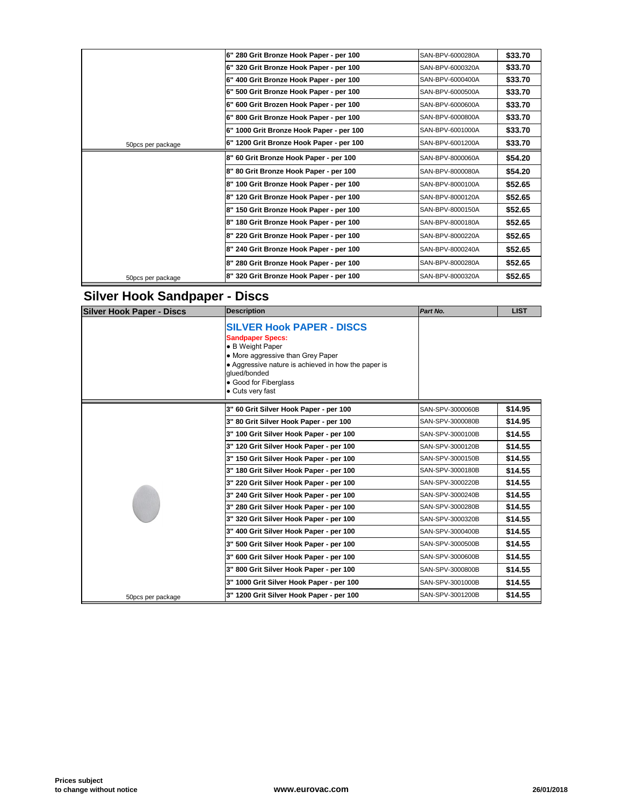|                   | 6" 280 Grit Bronze Hook Paper - per 100  | SAN-BPV-6000280A |
|-------------------|------------------------------------------|------------------|
|                   | 6" 320 Grit Bronze Hook Paper - per 100  | SAN-BPV-6000320A |
|                   | 6" 400 Grit Bronze Hook Paper - per 100  | SAN-BPV-6000400A |
|                   | 6" 500 Grit Bronze Hook Paper - per 100  | SAN-BPV-6000500A |
|                   | 6" 600 Grit Brozen Hook Paper - per 100  | SAN-BPV-6000600A |
|                   | 6" 800 Grit Bronze Hook Paper - per 100  | SAN-BPV-6000800A |
|                   | 6" 1000 Grit Bronze Hook Paper - per 100 | SAN-BPV-6001000A |
| 50pcs per package | 6" 1200 Grit Bronze Hook Paper - per 100 | SAN-BPV-6001200A |
|                   | 8" 60 Grit Bronze Hook Paper - per 100   | SAN-BPV-8000060A |
|                   | 8" 80 Grit Bronze Hook Paper - per 100   | SAN-BPV-8000080A |
|                   | 8" 100 Grit Bronze Hook Paper - per 100  | SAN-BPV-8000100A |
|                   | 8" 120 Grit Bronze Hook Paper - per 100  | SAN-BPV-8000120A |
|                   | 8" 150 Grit Bronze Hook Paper - per 100  | SAN-BPV-8000150A |
|                   | 8" 180 Grit Bronze Hook Paper - per 100  | SAN-BPV-8000180A |
|                   | 8" 220 Grit Bronze Hook Paper - per 100  | SAN-BPV-8000220A |
|                   | 8" 240 Grit Bronze Hook Paper - per 100  | SAN-BPV-8000240A |
|                   | 8" 280 Grit Bronze Hook Paper - per 100  | SAN-BPV-8000280A |
| 50pcs per package | 8" 320 Grit Bronze Hook Paper - per 100  | SAN-BPV-8000320A |

## **Silver Hook Sandpaper - Discs**

| <b>Silver Hook Paper - Discs</b> | <b>Description</b>                                                                                                                                                                                                                       | Part No.         |
|----------------------------------|------------------------------------------------------------------------------------------------------------------------------------------------------------------------------------------------------------------------------------------|------------------|
|                                  | <b>SILVER Hook PAPER - DISCS</b><br><b>Sandpaper Specs:</b><br>• B Weight Paper<br>• More aggressive than Grey Paper<br>• Aggressive nature is achieved in how the paper is<br>glued/bonded<br>• Good for Fiberglass<br>• Cuts very fast |                  |
|                                  | 3" 60 Grit Silver Hook Paper - per 100                                                                                                                                                                                                   | SAN-SPV-3000060B |
|                                  | 3" 80 Grit Silver Hook Paper - per 100                                                                                                                                                                                                   | SAN-SPV-3000080B |
|                                  | 3" 100 Grit Silver Hook Paper - per 100                                                                                                                                                                                                  | SAN-SPV-3000100B |
|                                  | 3" 120 Grit Silver Hook Paper - per 100                                                                                                                                                                                                  | SAN-SPV-3000120B |
|                                  | 3" 150 Grit Silver Hook Paper - per 100                                                                                                                                                                                                  | SAN-SPV-3000150B |
|                                  | 3" 180 Grit Silver Hook Paper - per 100                                                                                                                                                                                                  | SAN-SPV-3000180B |
|                                  | 3" 220 Grit Silver Hook Paper - per 100                                                                                                                                                                                                  | SAN-SPV-3000220B |
|                                  | 3" 240 Grit Silver Hook Paper - per 100                                                                                                                                                                                                  | SAN-SPV-3000240B |
|                                  | 3" 280 Grit Silver Hook Paper - per 100                                                                                                                                                                                                  | SAN-SPV-3000280B |
|                                  | 3" 320 Grit Silver Hook Paper - per 100                                                                                                                                                                                                  | SAN-SPV-3000320B |
|                                  | 3" 400 Grit Silver Hook Paper - per 100                                                                                                                                                                                                  | SAN-SPV-3000400B |
|                                  | 3" 500 Grit Silver Hook Paper - per 100                                                                                                                                                                                                  | SAN-SPV-3000500B |
|                                  | 3" 600 Grit Silver Hook Paper - per 100                                                                                                                                                                                                  | SAN-SPV-3000600B |
|                                  | 3" 800 Grit Silver Hook Paper - per 100                                                                                                                                                                                                  | SAN-SPV-3000800B |
|                                  | 3" 1000 Grit Silver Hook Paper - per 100                                                                                                                                                                                                 | SAN-SPV-3001000B |
| 50pcs per package                | 3" 1200 Grit Silver Hook Paper - per 100                                                                                                                                                                                                 | SAN-SPV-3001200B |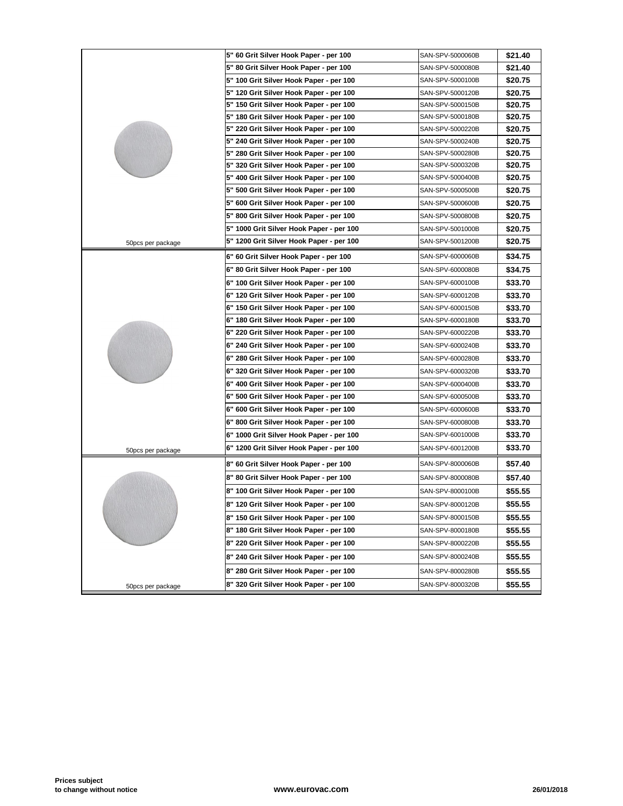|                   | 5" 60 Grit Silver Hook Paper - per 100   | SAN-SPV-5000060B |
|-------------------|------------------------------------------|------------------|
|                   | 5" 80 Grit Silver Hook Paper - per 100   | SAN-SPV-5000080B |
|                   | 5" 100 Grit Silver Hook Paper - per 100  | SAN-SPV-5000100B |
|                   | 5" 120 Grit Silver Hook Paper - per 100  | SAN-SPV-5000120B |
|                   | 5" 150 Grit Silver Hook Paper - per 100  | SAN-SPV-5000150B |
|                   | 5" 180 Grit Silver Hook Paper - per 100  | SAN-SPV-5000180B |
|                   | 5" 220 Grit Silver Hook Paper - per 100  | SAN-SPV-5000220B |
|                   | 5" 240 Grit Silver Hook Paper - per 100  | SAN-SPV-5000240B |
|                   | 5" 280 Grit Silver Hook Paper - per 100  | SAN-SPV-5000280B |
|                   | 5" 320 Grit Silver Hook Paper - per 100  | SAN-SPV-5000320B |
|                   | 5" 400 Grit Silver Hook Paper - per 100  | SAN-SPV-5000400B |
|                   | 5" 500 Grit Silver Hook Paper - per 100  | SAN-SPV-5000500B |
|                   | 5" 600 Grit Silver Hook Paper - per 100  | SAN-SPV-5000600B |
|                   | 5" 800 Grit Silver Hook Paper - per 100  | SAN-SPV-5000800B |
|                   | 5" 1000 Grit Silver Hook Paper - per 100 | SAN-SPV-5001000B |
| 50pcs per package | 5" 1200 Grit Silver Hook Paper - per 100 | SAN-SPV-5001200B |
|                   | 6" 60 Grit Silver Hook Paper - per 100   | SAN-SPV-6000060B |
|                   | 6" 80 Grit Silver Hook Paper - per 100   | SAN-SPV-6000080B |
|                   | 6" 100 Grit Silver Hook Paper - per 100  | SAN-SPV-6000100B |
|                   | 6" 120 Grit Silver Hook Paper - per 100  | SAN-SPV-6000120B |
|                   | 6" 150 Grit Silver Hook Paper - per 100  | SAN-SPV-6000150B |
|                   | 6" 180 Grit Silver Hook Paper - per 100  | SAN-SPV-6000180B |
|                   | 6" 220 Grit Silver Hook Paper - per 100  | SAN-SPV-6000220B |
|                   | 6" 240 Grit Silver Hook Paper - per 100  | SAN-SPV-6000240B |
|                   | 6" 280 Grit Silver Hook Paper - per 100  | SAN-SPV-6000280B |
|                   | 6" 320 Grit Silver Hook Paper - per 100  | SAN-SPV-6000320B |
|                   | 6" 400 Grit Silver Hook Paper - per 100  | SAN-SPV-6000400B |
|                   | 6" 500 Grit Silver Hook Paper - per 100  | SAN-SPV-6000500B |
|                   | 6" 600 Grit Silver Hook Paper - per 100  | SAN-SPV-6000600B |
|                   | 6" 800 Grit Silver Hook Paper - per 100  | SAN-SPV-6000800B |
|                   | 6" 1000 Grit Silver Hook Paper - per 100 | SAN-SPV-6001000B |
| 50pcs per package | 6" 1200 Grit Silver Hook Paper - per 100 | SAN-SPV-6001200B |
|                   | 8" 60 Grit Silver Hook Paper - per 100   | SAN-SPV-8000060B |
|                   | 8" 80 Grit Silver Hook Paper - per 100   | SAN-SPV-8000080B |
|                   | 8" 100 Grit Silver Hook Paper - per 100  | SAN-SPV-8000100B |
|                   | 8" 120 Grit Silver Hook Paper - per 100  | SAN-SPV-8000120B |
|                   | 8" 150 Grit Silver Hook Paper - per 100  | SAN-SPV-8000150B |
|                   | 8" 180 Grit Silver Hook Paper - per 100  | SAN-SPV-8000180B |
|                   | 8" 220 Grit Silver Hook Paper - per 100  | SAN-SPV-8000220B |
|                   | 8" 240 Grit Silver Hook Paper - per 100  | SAN-SPV-8000240B |
|                   | 8" 280 Grit Silver Hook Paper - per 100  | SAN-SPV-8000280B |
| 50pcs per package | 8" 320 Grit Silver Hook Paper - per 100  | SAN-SPV-8000320B |
|                   |                                          |                  |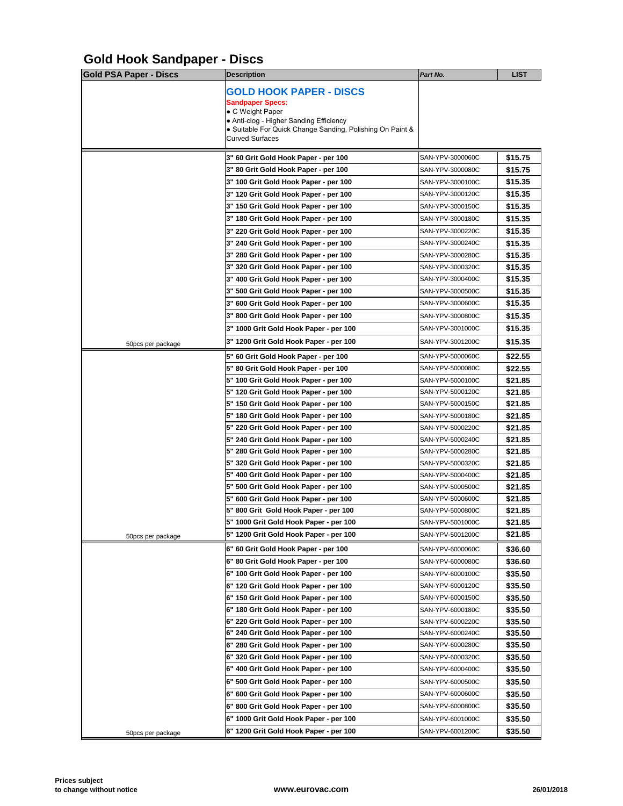# **Gold Hook Sandpaper - Discs**

| <b>Gold PSA Paper - Discs</b> | <b>Description</b>                                                                                                                                                                                              | Part No.         |
|-------------------------------|-----------------------------------------------------------------------------------------------------------------------------------------------------------------------------------------------------------------|------------------|
|                               | <b>GOLD HOOK PAPER - DISCS</b><br><b>Sandpaper Specs:</b><br>• C Weight Paper<br>• Anti-clog - Higher Sanding Efficiency<br>• Suitable For Quick Change Sanding, Polishing On Paint &<br><b>Curved Surfaces</b> |                  |
|                               |                                                                                                                                                                                                                 |                  |
|                               | 3" 60 Grit Gold Hook Paper - per 100                                                                                                                                                                            | SAN-YPV-3000060C |
|                               | 3" 80 Grit Gold Hook Paper - per 100                                                                                                                                                                            | SAN-YPV-3000080C |
|                               | 3" 100 Grit Gold Hook Paper - per 100                                                                                                                                                                           | SAN-YPV-3000100C |
|                               | 3" 120 Grit Gold Hook Paper - per 100                                                                                                                                                                           | SAN-YPV-3000120C |
|                               | 3" 150 Grit Gold Hook Paper - per 100                                                                                                                                                                           | SAN-YPV-3000150C |
|                               | 3" 180 Grit Gold Hook Paper - per 100                                                                                                                                                                           | SAN-YPV-3000180C |
|                               | 3" 220 Grit Gold Hook Paper - per 100                                                                                                                                                                           | SAN-YPV-3000220C |
|                               | 3" 240 Grit Gold Hook Paper - per 100                                                                                                                                                                           | SAN-YPV-3000240C |
|                               | 3" 280 Grit Gold Hook Paper - per 100                                                                                                                                                                           | SAN-YPV-3000280C |
|                               | 3" 320 Grit Gold Hook Paper - per 100                                                                                                                                                                           | SAN-YPV-3000320C |
|                               | 3" 400 Grit Gold Hook Paper - per 100                                                                                                                                                                           | SAN-YPV-3000400C |
|                               | 3" 500 Grit Gold Hook Paper - per 100                                                                                                                                                                           | SAN-YPV-3000500C |
|                               | 3" 600 Grit Gold Hook Paper - per 100                                                                                                                                                                           | SAN-YPV-3000600C |
|                               | 3" 800 Grit Gold Hook Paper - per 100                                                                                                                                                                           | SAN-YPV-3000800C |
|                               | 3" 1000 Grit Gold Hook Paper - per 100                                                                                                                                                                          | SAN-YPV-3001000C |
| 50pcs per package             | 3" 1200 Grit Gold Hook Paper - per 100                                                                                                                                                                          | SAN-YPV-3001200C |
|                               | 5" 60 Grit Gold Hook Paper - per 100                                                                                                                                                                            | SAN-YPV-5000060C |
|                               | 5" 80 Grit Gold Hook Paper - per 100                                                                                                                                                                            | SAN-YPV-5000080C |
|                               | 5" 100 Grit Gold Hook Paper - per 100                                                                                                                                                                           | SAN-YPV-5000100C |
|                               | 5" 120 Grit Gold Hook Paper - per 100                                                                                                                                                                           | SAN-YPV-5000120C |
|                               | 5" 150 Grit Gold Hook Paper - per 100                                                                                                                                                                           | SAN-YPV-5000150C |
|                               | 5" 180 Grit Gold Hook Paper - per 100                                                                                                                                                                           | SAN-YPV-5000180C |
|                               | 5" 220 Grit Gold Hook Paper - per 100                                                                                                                                                                           | SAN-YPV-5000220C |
|                               | 5" 240 Grit Gold Hook Paper - per 100                                                                                                                                                                           | SAN-YPV-5000240C |
|                               | 5" 280 Grit Gold Hook Paper - per 100                                                                                                                                                                           | SAN-YPV-5000280C |
|                               | 5" 320 Grit Gold Hook Paper - per 100                                                                                                                                                                           | SAN-YPV-5000320C |
|                               | 5" 400 Grit Gold Hook Paper - per 100                                                                                                                                                                           | SAN-YPV-5000400C |
|                               | 5" 500 Grit Gold Hook Paper - per 100                                                                                                                                                                           | SAN-YPV-5000500C |
|                               | 5" 600 Grit Gold Hook Paper - per 100                                                                                                                                                                           | SAN-YPV-5000600C |
|                               | 5" 800 Grit Gold Hook Paper - per 100                                                                                                                                                                           | SAN-YPV-5000800C |
|                               | 5" 1000 Grit Gold Hook Paper - per 100                                                                                                                                                                          | SAN-YPV-5001000C |
| 50pcs per package             | 5" 1200 Grit Gold Hook Paper - per 100                                                                                                                                                                          | SAN-YPV-5001200C |
|                               | 6" 60 Grit Gold Hook Paper - per 100                                                                                                                                                                            | SAN-YPV-6000060C |
|                               | 6" 80 Grit Gold Hook Paper - per 100                                                                                                                                                                            | SAN-YPV-6000080C |
|                               | 6" 100 Grit Gold Hook Paper - per 100                                                                                                                                                                           | SAN-YPV-6000100C |
|                               | 6" 120 Grit Gold Hook Paper - per 100                                                                                                                                                                           | SAN-YPV-6000120C |
|                               | 6" 150 Grit Gold Hook Paper - per 100                                                                                                                                                                           | SAN-YPV-6000150C |
|                               | 6" 180 Grit Gold Hook Paper - per 100                                                                                                                                                                           | SAN-YPV-6000180C |
|                               | 6" 220 Grit Gold Hook Paper - per 100                                                                                                                                                                           | SAN-YPV-6000220C |
|                               | 6" 240 Grit Gold Hook Paper - per 100                                                                                                                                                                           | SAN-YPV-6000240C |
|                               | 6" 280 Grit Gold Hook Paper - per 100                                                                                                                                                                           | SAN-YPV-6000280C |
|                               | 6" 320 Grit Gold Hook Paper - per 100                                                                                                                                                                           | SAN-YPV-6000320C |
|                               | 6" 400 Grit Gold Hook Paper - per 100                                                                                                                                                                           | SAN-YPV-6000400C |
|                               | 6" 500 Grit Gold Hook Paper - per 100                                                                                                                                                                           | SAN-YPV-6000500C |
|                               | 6" 600 Grit Gold Hook Paper - per 100                                                                                                                                                                           | SAN-YPV-6000600C |
|                               | 6" 800 Grit Gold Hook Paper - per 100                                                                                                                                                                           | SAN-YPV-6000800C |
|                               | 6" 1000 Grit Gold Hook Paper - per 100                                                                                                                                                                          | SAN-YPV-6001000C |
|                               | 6" 1200 Grit Gold Hook Paper - per 100                                                                                                                                                                          | SAN-YPV-6001200C |
| 50pcs per package             |                                                                                                                                                                                                                 |                  |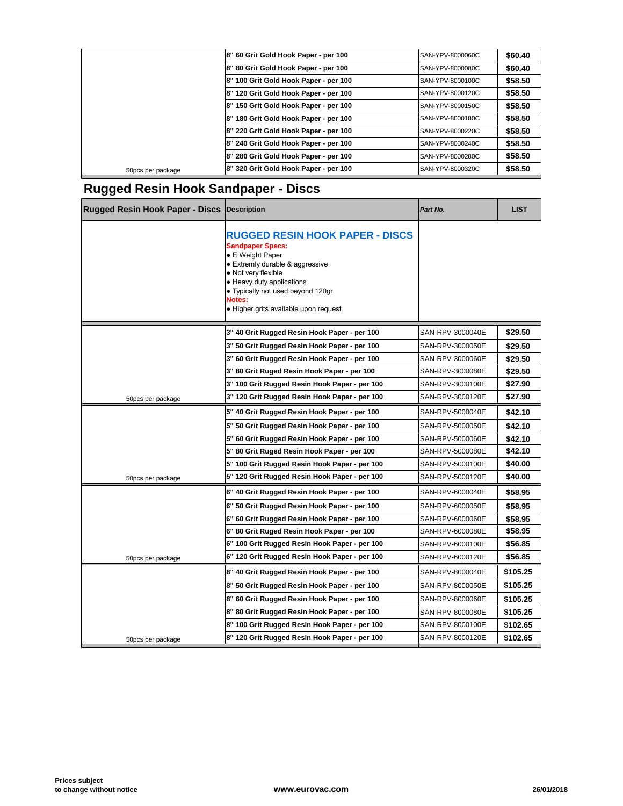|                   | 8" 60 Grit Gold Hook Paper - per 100  | SAN-YPV-8000060C |
|-------------------|---------------------------------------|------------------|
|                   | 8" 80 Grit Gold Hook Paper - per 100  | SAN-YPV-8000080C |
|                   | 8" 100 Grit Gold Hook Paper - per 100 | SAN-YPV-8000100C |
|                   | 8" 120 Grit Gold Hook Paper - per 100 | SAN-YPV-8000120C |
|                   | 8" 150 Grit Gold Hook Paper - per 100 | SAN-YPV-8000150C |
|                   | 8" 180 Grit Gold Hook Paper - per 100 | SAN-YPV-8000180C |
|                   | 8" 220 Grit Gold Hook Paper - per 100 | SAN-YPV-8000220C |
|                   | 8" 240 Grit Gold Hook Paper - per 100 | SAN-YPV-8000240C |
|                   | 8" 280 Grit Gold Hook Paper - per 100 | SAN-YPV-8000280C |
| 50pcs per package | 8" 320 Grit Gold Hook Paper - per 100 | SAN-YPV-8000320C |
|                   |                                       |                  |

## **Rugged Resin Hook Sandpaper - Discs**

| <b>Rugged Resin Hook Paper - Discs Description</b> |                                                                                                                                                                                                                                                                             | Part No.         |
|----------------------------------------------------|-----------------------------------------------------------------------------------------------------------------------------------------------------------------------------------------------------------------------------------------------------------------------------|------------------|
|                                                    | <b>RUGGED RESIN HOOK PAPER - DISCS</b><br><b>Sandpaper Specs:</b><br>• E Weight Paper<br>• Extremly durable & aggressive<br>• Not very flexible<br>• Heavy duty applications<br>• Typically not used beyond 120gr<br><b>Notes:</b><br>• Higher grits available upon request |                  |
|                                                    | 3" 40 Grit Rugged Resin Hook Paper - per 100                                                                                                                                                                                                                                | SAN-RPV-3000040E |
|                                                    | 3" 50 Grit Rugged Resin Hook Paper - per 100                                                                                                                                                                                                                                | SAN-RPV-3000050E |
|                                                    | 3" 60 Grit Rugged Resin Hook Paper - per 100                                                                                                                                                                                                                                | SAN-RPV-3000060E |
|                                                    | 3" 80 Grit Ruged Resin Hook Paper - per 100                                                                                                                                                                                                                                 | SAN-RPV-3000080E |
|                                                    | 3" 100 Grit Rugged Resin Hook Paper - per 100                                                                                                                                                                                                                               | SAN-RPV-3000100E |
| 50pcs per package                                  | 3" 120 Grit Rugged Resin Hook Paper - per 100                                                                                                                                                                                                                               | SAN-RPV-3000120E |
|                                                    | 5" 40 Grit Rugged Resin Hook Paper - per 100                                                                                                                                                                                                                                | SAN-RPV-5000040E |
|                                                    | 5" 50 Grit Rugged Resin Hook Paper - per 100                                                                                                                                                                                                                                | SAN-RPV-5000050E |
|                                                    | 5" 60 Grit Rugged Resin Hook Paper - per 100                                                                                                                                                                                                                                | SAN-RPV-5000060E |
|                                                    | 5" 80 Grit Ruged Resin Hook Paper - per 100                                                                                                                                                                                                                                 | SAN-RPV-5000080E |
|                                                    | 5" 100 Grit Rugged Resin Hook Paper - per 100                                                                                                                                                                                                                               | SAN-RPV-5000100E |
| 50pcs per package                                  | 5" 120 Grit Rugged Resin Hook Paper - per 100                                                                                                                                                                                                                               | SAN-RPV-5000120E |
|                                                    | 6" 40 Grit Rugged Resin Hook Paper - per 100                                                                                                                                                                                                                                | SAN-RPV-6000040E |
|                                                    | 6" 50 Grit Rugged Resin Hook Paper - per 100                                                                                                                                                                                                                                | SAN-RPV-6000050E |
|                                                    | 6" 60 Grit Rugged Resin Hook Paper - per 100                                                                                                                                                                                                                                | SAN-RPV-6000060E |
|                                                    | 6" 80 Grit Ruged Resin Hook Paper - per 100                                                                                                                                                                                                                                 | SAN-RPV-6000080E |
|                                                    | 6" 100 Grit Rugged Resin Hook Paper - per 100                                                                                                                                                                                                                               | SAN-RPV-6000100E |
| 50pcs per package                                  | 6" 120 Grit Rugged Resin Hook Paper - per 100                                                                                                                                                                                                                               | SAN-RPV-6000120E |
|                                                    | 8" 40 Grit Rugged Resin Hook Paper - per 100                                                                                                                                                                                                                                | SAN-RPV-8000040E |
|                                                    | 8" 50 Grit Rugged Resin Hook Paper - per 100                                                                                                                                                                                                                                | SAN-RPV-8000050E |
|                                                    | 8" 60 Grit Rugged Resin Hook Paper - per 100                                                                                                                                                                                                                                | SAN-RPV-8000060E |
|                                                    | 8" 80 Grit Rugged Resin Hook Paper - per 100                                                                                                                                                                                                                                | SAN-RPV-8000080E |
|                                                    | 8" 100 Grit Rugged Resin Hook Paper - per 100                                                                                                                                                                                                                               | SAN-RPV-8000100E |
| 50pcs per package                                  | 8" 120 Grit Rugged Resin Hook Paper - per 100                                                                                                                                                                                                                               | SAN-RPV-8000120E |
|                                                    |                                                                                                                                                                                                                                                                             |                  |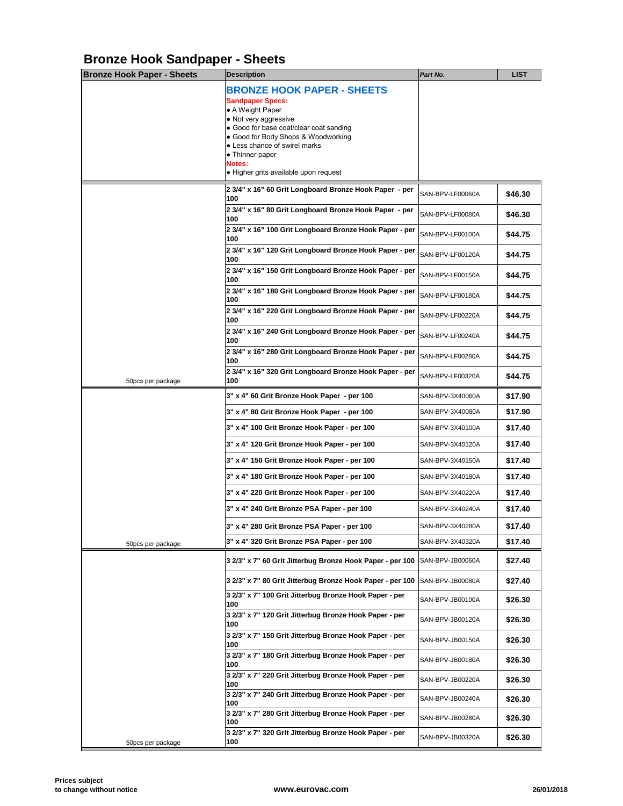# **Bronze Hook Sandpaper - Sheets**

| <b>Bronze Hook Paper - Sheets</b> | <b>Description</b>                                                                                                                                                                                                                                                                                 | Part No.         |
|-----------------------------------|----------------------------------------------------------------------------------------------------------------------------------------------------------------------------------------------------------------------------------------------------------------------------------------------------|------------------|
|                                   | <b>BRONZE HOOK PAPER - SHEETS</b><br><b>Sandpaper Specs:</b><br>• A Weight Paper<br>• Not very aggressive<br>• Good for base coat/clear coat sanding<br>• Good for Body Shops & Woodworking<br>• Less chance of swirel marks<br>• Thinner paper<br>Notes:<br>• Higher grits available upon request |                  |
|                                   | 2 3/4" x 16" 60 Grit Longboard Bronze Hook Paper - per                                                                                                                                                                                                                                             |                  |
|                                   | 100                                                                                                                                                                                                                                                                                                | SAN-BPV-LF00060A |
|                                   | 2 3/4" x 16" 80 Grit Longboard Bronze Hook Paper - per<br>100                                                                                                                                                                                                                                      | SAN-BPV-LF00080A |
|                                   | 2 3/4" x 16" 100 Grit Longboard Bronze Hook Paper - per<br>100                                                                                                                                                                                                                                     | SAN-BPV-LF00100A |
|                                   | 2 3/4" x 16" 120 Grit Longboard Bronze Hook Paper - per<br>100                                                                                                                                                                                                                                     | SAN-BPV-LF00120A |
|                                   | 2 3/4" x 16" 150 Grit Longboard Bronze Hook Paper - per<br>100                                                                                                                                                                                                                                     | SAN-BPV-LF00150A |
|                                   | 2 3/4" x 16" 180 Grit Longboard Bronze Hook Paper - per<br>100                                                                                                                                                                                                                                     | SAN-BPV-LF00180A |
|                                   | 2 3/4" x 16" 220 Grit Longboard Bronze Hook Paper - per<br>100                                                                                                                                                                                                                                     | SAN-BPV-LF00220A |
|                                   | 2 3/4" x 16" 240 Grit Longboard Bronze Hook Paper - per<br>100                                                                                                                                                                                                                                     | SAN-BPV-LF00240A |
|                                   | 2 3/4" x 16" 280 Grit Longboard Bronze Hook Paper - per<br>100                                                                                                                                                                                                                                     | SAN-BPV-LF00280A |
| 50 pcs per package                | 2 3/4" x 16" 320 Grit Longboard Bronze Hook Paper - per<br>100                                                                                                                                                                                                                                     | SAN-BPV-LF00320A |
|                                   | 3" x 4" 60 Grit Bronze Hook Paper - per 100                                                                                                                                                                                                                                                        | SAN-BPV-3X40060A |
|                                   | 3" x 4" 80 Grit Bronze Hook Paper - per 100                                                                                                                                                                                                                                                        | SAN-BPV-3X40080A |
|                                   | 3" x 4" 100 Grit Bronze Hook Paper - per 100                                                                                                                                                                                                                                                       | SAN-BPV-3X40100A |
|                                   | 3" x 4" 120 Grit Bronze Hook Paper - per 100                                                                                                                                                                                                                                                       | SAN-BPV-3X40120A |
|                                   | 3" x 4" 150 Grit Bronze Hook Paper - per 100                                                                                                                                                                                                                                                       | SAN-BPV-3X40150A |
|                                   | 3" x 4" 180 Grit Bronze Hook Paper - per 100                                                                                                                                                                                                                                                       | SAN-BPV-3X40180A |
|                                   | 3" x 4" 220 Grit Bronze Hook Paper - per 100                                                                                                                                                                                                                                                       | SAN-BPV-3X40220A |
|                                   | 3" x 4" 240 Grit Bronze PSA Paper - per 100                                                                                                                                                                                                                                                        | SAN-BPV-3X40240A |
|                                   | 3" x 4" 280 Grit Bronze PSA Paper - per 100                                                                                                                                                                                                                                                        | SAN-BPV-3X40280A |
| 50pcs per package                 | 3" x 4" 320 Grit Bronze PSA Paper - per 100                                                                                                                                                                                                                                                        | SAN-BPV-3X40320A |
|                                   | 3 2/3" x 7" 60 Grit Jitterbug Bronze Hook Paper - per 100                                                                                                                                                                                                                                          | SAN-BPV-JB00060A |
|                                   | 3 2/3" x 7" 80 Grit Jitterbug Bronze Hook Paper - per 100                                                                                                                                                                                                                                          | SAN-BPV-JB00080A |
|                                   | 3 2/3" x 7" 100 Grit Jitterbug Bronze Hook Paper - per<br>100                                                                                                                                                                                                                                      | SAN-BPV-JB00100A |
|                                   | 3 2/3" x 7" 120 Grit Jitterbug Bronze Hook Paper - per<br>100                                                                                                                                                                                                                                      | SAN-BPV-JB00120A |
|                                   | 3 2/3" x 7" 150 Grit Jitterbug Bronze Hook Paper - per<br>100                                                                                                                                                                                                                                      | SAN-BPV-JB00150A |
|                                   | 3 2/3" x 7" 180 Grit Jitterbug Bronze Hook Paper - per<br>100                                                                                                                                                                                                                                      | SAN-BPV-JB00180A |
|                                   | 3 2/3" x 7" 220 Grit Jitterbug Bronze Hook Paper - per<br>100                                                                                                                                                                                                                                      | SAN-BPV-JB00220A |
|                                   | 3 2/3" x 7" 240 Grit Jitterbug Bronze Hook Paper - per<br>100                                                                                                                                                                                                                                      | SAN-BPV-JB00240A |
|                                   | 3 2/3" x 7" 280 Grit Jitterbug Bronze Hook Paper - per<br>100                                                                                                                                                                                                                                      | SAN-BPV-JB00280A |
| 50pcs per package                 | 3 2/3" x 7" 320 Grit Jitterbug Bronze Hook Paper - per<br>100                                                                                                                                                                                                                                      | SAN-BPV-JB00320A |
|                                   |                                                                                                                                                                                                                                                                                                    |                  |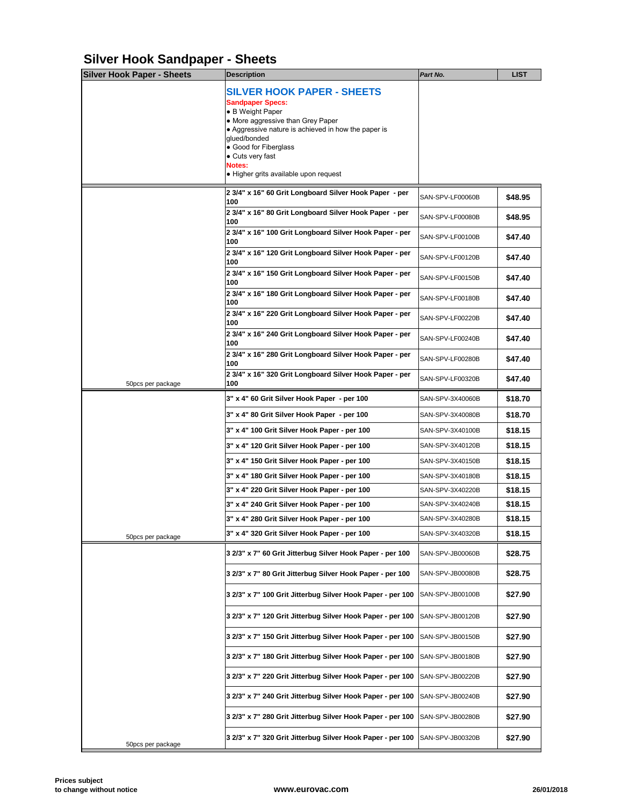# **Silver Hook Sandpaper - Sheets**

| <b>Silver Hook Paper - Sheets</b> | <b>Description</b>                                                                                                                                                                                                                                                                           | Part No.         |
|-----------------------------------|----------------------------------------------------------------------------------------------------------------------------------------------------------------------------------------------------------------------------------------------------------------------------------------------|------------------|
|                                   | <b>SILVER HOOK PAPER - SHEETS</b><br><b>Sandpaper Specs:</b><br>• B Weight Paper<br>• More aggressive than Grey Paper<br>• Aggressive nature is achieved in how the paper is<br>glued/bonded<br>• Good for Fiberglass<br>• Cuts very fast<br>Notes:<br>• Higher grits available upon request |                  |
|                                   | 2 3/4" x 16" 60 Grit Longboard Silver Hook Paper - per                                                                                                                                                                                                                                       | SAN-SPV-LF00060B |
|                                   | 100<br>2 3/4" x 16" 80 Grit Longboard Silver Hook Paper - per                                                                                                                                                                                                                                | SAN-SPV-LF00080B |
|                                   | 100<br>2 3/4" x 16" 100 Grit Longboard Silver Hook Paper - per                                                                                                                                                                                                                               | SAN-SPV-LF00100B |
|                                   | 100<br>2 3/4" x 16" 120 Grit Longboard Silver Hook Paper - per                                                                                                                                                                                                                               | SAN-SPV-LF00120B |
|                                   | 100<br>2 3/4" x 16" 150 Grit Longboard Silver Hook Paper - per<br>100                                                                                                                                                                                                                        | SAN-SPV-LF00150B |
|                                   | 2 3/4" x 16" 180 Grit Longboard Silver Hook Paper - per<br>100                                                                                                                                                                                                                               | SAN-SPV-LF00180B |
|                                   | 2 3/4" x 16" 220 Grit Longboard Silver Hook Paper - per<br>100                                                                                                                                                                                                                               | SAN-SPV-LF00220B |
|                                   | 2 3/4" x 16" 240 Grit Longboard Silver Hook Paper - per<br>100                                                                                                                                                                                                                               | SAN-SPV-LF00240B |
|                                   | 2 3/4" x 16" 280 Grit Longboard Silver Hook Paper - per<br>100                                                                                                                                                                                                                               | SAN-SPV-LF00280B |
| 50pcs per package                 | 2 3/4" x 16" 320 Grit Longboard Silver Hook Paper - per<br>100                                                                                                                                                                                                                               | SAN-SPV-LF00320B |
|                                   | 3" x 4" 60 Grit Silver Hook Paper - per 100                                                                                                                                                                                                                                                  | SAN-SPV-3X40060B |
|                                   | 3" x 4" 80 Grit Silver Hook Paper - per 100                                                                                                                                                                                                                                                  | SAN-SPV-3X40080B |
|                                   | 3" x 4" 100 Grit Silver Hook Paper - per 100                                                                                                                                                                                                                                                 | SAN-SPV-3X40100B |
|                                   | 3" x 4" 120 Grit Silver Hook Paper - per 100                                                                                                                                                                                                                                                 | SAN-SPV-3X40120B |
|                                   | 3" x 4" 150 Grit Silver Hook Paper - per 100                                                                                                                                                                                                                                                 | SAN-SPV-3X40150B |
|                                   | 3" x 4" 180 Grit Silver Hook Paper - per 100                                                                                                                                                                                                                                                 | SAN-SPV-3X40180B |
|                                   | 3" x 4" 220 Grit Silver Hook Paper - per 100                                                                                                                                                                                                                                                 | SAN-SPV-3X40220B |
|                                   | 3" x 4" 240 Grit Silver Hook Paper - per 100                                                                                                                                                                                                                                                 | SAN-SPV-3X40240B |
|                                   | 3" x 4" 280 Grit Silver Hook Paper - per 100                                                                                                                                                                                                                                                 | SAN-SPV-3X40280B |
| 50pcs per package                 | 3" x 4" 320 Grit Silver Hook Paper - per 100                                                                                                                                                                                                                                                 | SAN-SPV-3X40320B |
|                                   | 3 2/3" x 7" 60 Grit Jitterbug Silver Hook Paper - per 100                                                                                                                                                                                                                                    | SAN-SPV-JB00060B |
|                                   | 3 2/3" x 7" 80 Grit Jitterbug Silver Hook Paper - per 100                                                                                                                                                                                                                                    | SAN-SPV-JB00080B |
|                                   | 3 2/3" x 7" 100 Grit Jitterbug Silver Hook Paper - per 100                                                                                                                                                                                                                                   | SAN-SPV-JB00100B |
|                                   | 3 2/3" x 7" 120 Grit Jitterbug Silver Hook Paper - per 100                                                                                                                                                                                                                                   | SAN-SPV-JB00120B |
|                                   | 3 2/3" x 7" 150 Grit Jitterbug Silver Hook Paper - per 100                                                                                                                                                                                                                                   | SAN-SPV-JB00150B |
|                                   | 3 2/3" x 7" 180 Grit Jitterbug Silver Hook Paper - per 100                                                                                                                                                                                                                                   | SAN-SPV-JB00180B |
|                                   | 3 2/3" x 7" 220 Grit Jitterbug Silver Hook Paper - per 100                                                                                                                                                                                                                                   | SAN-SPV-JB00220B |
|                                   | 3 2/3" x 7" 240 Grit Jitterbug Silver Hook Paper - per 100                                                                                                                                                                                                                                   | SAN-SPV-JB00240B |
|                                   | 3 2/3" x 7" 280 Grit Jitterbug Silver Hook Paper - per 100                                                                                                                                                                                                                                   | SAN-SPV-JB00280B |
| 50pcs per package                 | 3 2/3" x 7" 320 Grit Jitterbug Silver Hook Paper - per 100                                                                                                                                                                                                                                   | SAN-SPV-JB00320B |
|                                   |                                                                                                                                                                                                                                                                                              |                  |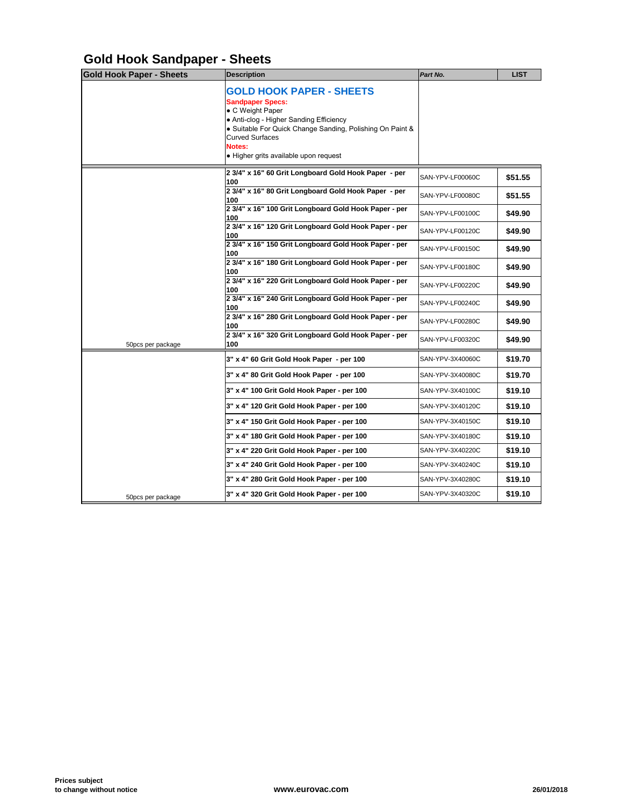## **Gold Hook Sandpaper - Sheets**

| <b>GOLD HOOK PAPER - SHEETS</b><br><b>Sandpaper Specs:</b><br>• C Weight Paper<br>• Anti-clog - Higher Sanding Efficiency<br>• Suitable For Quick Change Sanding, Polishing On Paint &<br><b>Curved Surfaces</b><br><b>Notes:</b><br>• Higher grits available upon request<br>2 3/4" x 16" 60 Grit Longboard Gold Hook Paper - per<br>SAN-YPV-LF00060C<br>100<br>2 3/4" x 16" 80 Grit Longboard Gold Hook Paper - per<br>SAN-YPV-LF00080C<br>100 |
|--------------------------------------------------------------------------------------------------------------------------------------------------------------------------------------------------------------------------------------------------------------------------------------------------------------------------------------------------------------------------------------------------------------------------------------------------|
|                                                                                                                                                                                                                                                                                                                                                                                                                                                  |
|                                                                                                                                                                                                                                                                                                                                                                                                                                                  |
|                                                                                                                                                                                                                                                                                                                                                                                                                                                  |
| 2 3/4" x 16" 100 Grit Longboard Gold Hook Paper - per<br>SAN-YPV-LF00100C<br>100                                                                                                                                                                                                                                                                                                                                                                 |
| 2 3/4" x 16" 120 Grit Longboard Gold Hook Paper - per<br>SAN-YPV-LF00120C<br>100                                                                                                                                                                                                                                                                                                                                                                 |
| 2 3/4" x 16" 150 Grit Longboard Gold Hook Paper - per<br>SAN-YPV-LF00150C<br>100                                                                                                                                                                                                                                                                                                                                                                 |
| 2 3/4" x 16" 180 Grit Longboard Gold Hook Paper - per<br>SAN-YPV-LF00180C<br>100                                                                                                                                                                                                                                                                                                                                                                 |
| 2 3/4" x 16" 220 Grit Longboard Gold Hook Paper - per<br>SAN-YPV-LF00220C<br>100                                                                                                                                                                                                                                                                                                                                                                 |
| 2 3/4" x 16" 240 Grit Longboard Gold Hook Paper - per<br>SAN-YPV-LF00240C<br>100                                                                                                                                                                                                                                                                                                                                                                 |
| 2 3/4" x 16" 280 Grit Longboard Gold Hook Paper - per<br>SAN-YPV-LF00280C<br>100                                                                                                                                                                                                                                                                                                                                                                 |
| 2 3/4" x 16" 320 Grit Longboard Gold Hook Paper - per<br>SAN-YPV-LF00320C<br>100<br>50pcs per package                                                                                                                                                                                                                                                                                                                                            |
| 3" x 4" 60 Grit Gold Hook Paper - per 100<br>SAN-YPV-3X40060C                                                                                                                                                                                                                                                                                                                                                                                    |
| 3" x 4" 80 Grit Gold Hook Paper - per 100<br>SAN-YPV-3X40080C                                                                                                                                                                                                                                                                                                                                                                                    |
| 3" x 4" 100 Grit Gold Hook Paper - per 100<br>SAN-YPV-3X40100C                                                                                                                                                                                                                                                                                                                                                                                   |
| 3" x 4" 120 Grit Gold Hook Paper - per 100<br>SAN-YPV-3X40120C                                                                                                                                                                                                                                                                                                                                                                                   |
| 3" x 4" 150 Grit Gold Hook Paper - per 100<br>SAN-YPV-3X40150C                                                                                                                                                                                                                                                                                                                                                                                   |
| 3" x 4" 180 Grit Gold Hook Paper - per 100<br>SAN-YPV-3X40180C                                                                                                                                                                                                                                                                                                                                                                                   |
| 3" x 4" 220 Grit Gold Hook Paper - per 100<br>SAN-YPV-3X40220C                                                                                                                                                                                                                                                                                                                                                                                   |
| 3" x 4" 240 Grit Gold Hook Paper - per 100<br>SAN-YPV-3X40240C                                                                                                                                                                                                                                                                                                                                                                                   |
| 3" x 4" 280 Grit Gold Hook Paper - per 100<br>SAN-YPV-3X40280C                                                                                                                                                                                                                                                                                                                                                                                   |
| 3" x 4" 320 Grit Gold Hook Paper - per 100<br>SAN-YPV-3X40320C<br>50pcs per package                                                                                                                                                                                                                                                                                                                                                              |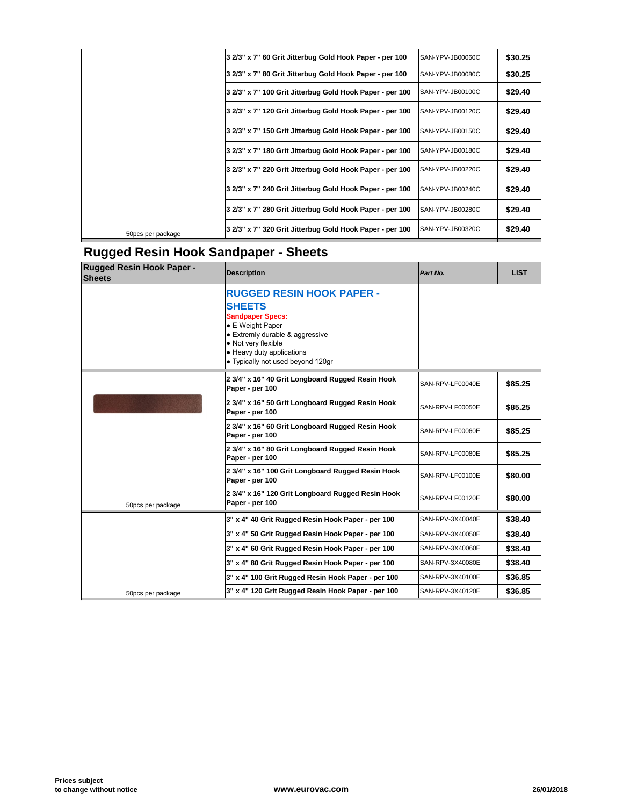| 3 2/3" x 7" 60 Grit Jitterbug Gold Hook Paper - per 100<br>SAN-YPV-JB00060C<br>3 2/3" x 7" 80 Grit Jitterbug Gold Hook Paper - per 100<br>SAN-YPV-JB00080C<br>3 2/3" x 7" 100 Grit Jitterbug Gold Hook Paper - per 100<br>SAN-YPV-JB00100C<br>3 2/3" x 7" 120 Grit Jitterbug Gold Hook Paper - per 100<br>SAN-YPV-JB00120C<br>3 2/3" x 7" 150 Grit Jitterbug Gold Hook Paper - per 100<br>SAN-YPV-JB00150C<br>3 2/3" x 7" 180 Grit Jitterbug Gold Hook Paper - per 100<br>SAN-YPV-JB00180C<br>3 2/3" x 7" 220 Grit Jitterbug Gold Hook Paper - per 100<br>SAN-YPV-JB00220C<br>3 2/3" x 7" 240 Grit Jitterbug Gold Hook Paper - per 100<br>SAN-YPV-JB00240C |
|------------------------------------------------------------------------------------------------------------------------------------------------------------------------------------------------------------------------------------------------------------------------------------------------------------------------------------------------------------------------------------------------------------------------------------------------------------------------------------------------------------------------------------------------------------------------------------------------------------------------------------------------------------|
|                                                                                                                                                                                                                                                                                                                                                                                                                                                                                                                                                                                                                                                            |
|                                                                                                                                                                                                                                                                                                                                                                                                                                                                                                                                                                                                                                                            |
|                                                                                                                                                                                                                                                                                                                                                                                                                                                                                                                                                                                                                                                            |
|                                                                                                                                                                                                                                                                                                                                                                                                                                                                                                                                                                                                                                                            |
|                                                                                                                                                                                                                                                                                                                                                                                                                                                                                                                                                                                                                                                            |
|                                                                                                                                                                                                                                                                                                                                                                                                                                                                                                                                                                                                                                                            |
|                                                                                                                                                                                                                                                                                                                                                                                                                                                                                                                                                                                                                                                            |
|                                                                                                                                                                                                                                                                                                                                                                                                                                                                                                                                                                                                                                                            |
| 3 2/3" x 7" 280 Grit Jitterbug Gold Hook Paper - per 100<br>SAN-YPV-JB00280C                                                                                                                                                                                                                                                                                                                                                                                                                                                                                                                                                                               |
| 3 2/3" x 7" 320 Grit Jitterbug Gold Hook Paper - per 100<br>SAN-YPV-JB00320C<br>50 pcs per package                                                                                                                                                                                                                                                                                                                                                                                                                                                                                                                                                         |

## **Rugged Resin Hook Sandpaper - Sheets**

| <b>Rugged Resin Hook Paper -</b><br><b>Sheets</b> | <b>Description</b>                                                                                                                                                                                                           | Part No.         |  |
|---------------------------------------------------|------------------------------------------------------------------------------------------------------------------------------------------------------------------------------------------------------------------------------|------------------|--|
|                                                   | <b>RUGGED RESIN HOOK PAPER -</b><br><b>SHEETS</b><br><b>Sandpaper Specs:</b><br>• E Weight Paper<br>• Extremly durable & aggressive<br>• Not very flexible<br>• Heavy duty applications<br>• Typically not used beyond 120gr |                  |  |
|                                                   | 2 3/4" x 16" 40 Grit Longboard Rugged Resin Hook<br>Paper - per 100                                                                                                                                                          | SAN-RPV-LF00040E |  |
|                                                   | 2 3/4" x 16" 50 Grit Longboard Rugged Resin Hook<br>Paper - per 100                                                                                                                                                          | SAN-RPV-LF00050E |  |
|                                                   | 2 3/4" x 16" 60 Grit Longboard Rugged Resin Hook<br>Paper - per 100                                                                                                                                                          | SAN-RPV-LF00060E |  |
|                                                   | 2 3/4" x 16" 80 Grit Longboard Rugged Resin Hook<br>Paper - per 100                                                                                                                                                          | SAN-RPV-LF00080E |  |
|                                                   | 2 3/4" x 16" 100 Grit Longboard Rugged Resin Hook<br>Paper - per 100                                                                                                                                                         | SAN-RPV-LF00100E |  |
| 50pcs per package                                 | 2 3/4" x 16" 120 Grit Longboard Rugged Resin Hook<br>Paper - per 100                                                                                                                                                         | SAN-RPV-LF00120E |  |
|                                                   | 3" x 4" 40 Grit Rugged Resin Hook Paper - per 100                                                                                                                                                                            | SAN-RPV-3X40040E |  |
|                                                   | 3" x 4" 50 Grit Rugged Resin Hook Paper - per 100                                                                                                                                                                            | SAN-RPV-3X40050E |  |
|                                                   | 3" x 4" 60 Grit Rugged Resin Hook Paper - per 100                                                                                                                                                                            | SAN-RPV-3X40060E |  |
|                                                   | 3" x 4" 80 Grit Rugged Resin Hook Paper - per 100                                                                                                                                                                            | SAN-RPV-3X40080E |  |
|                                                   | 3" x 4" 100 Grit Rugged Resin Hook Paper - per 100                                                                                                                                                                           | SAN-RPV-3X40100E |  |
| 50pcs per package                                 | 3" x 4" 120 Grit Rugged Resin Hook Paper - per 100                                                                                                                                                                           | SAN-RPV-3X40120E |  |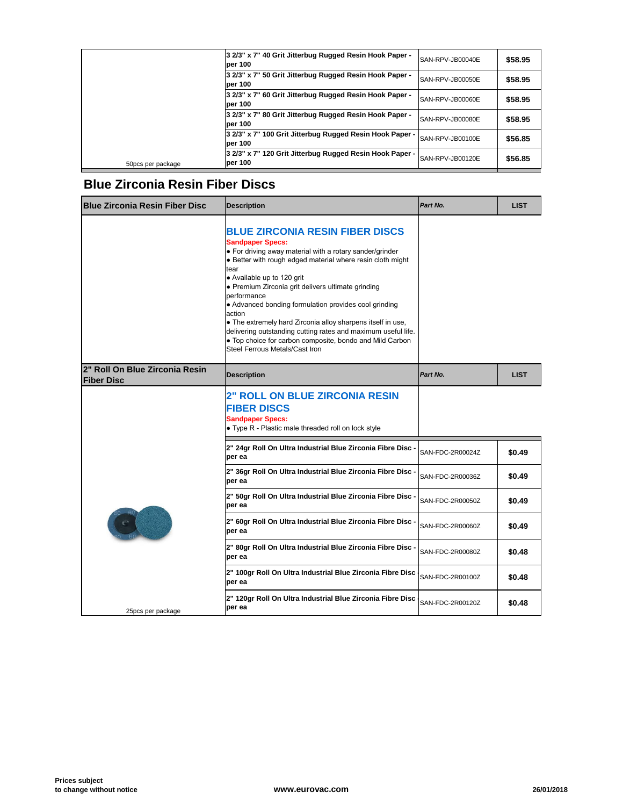| 50pcs per package | 3 2/3" x 7" 120 Grit Jitterbug Rugged Resin Hook Paper -<br>per 100  | SAN-RPV-JB00120E |
|-------------------|----------------------------------------------------------------------|------------------|
|                   | 3 2/3" x 7" 100 Grit Jitterbug Rugged Resin Hook Paper -<br>lper 100 | SAN-RPV-JB00100E |
|                   | 3 2/3" x 7" 80 Grit Jitterbug Rugged Resin Hook Paper -<br>lper 100  | SAN-RPV-JB00080E |
|                   | 3 2/3" x 7" 60 Grit Jitterbug Rugged Resin Hook Paper -<br>lper 100  | SAN-RPV-JB00060E |
|                   | 3 2/3" x 7" 50 Grit Jitterbug Rugged Resin Hook Paper -<br>lper 100  | SAN-RPV-JB00050E |
|                   | 3 2/3" x 7" 40 Grit Jitterbug Rugged Resin Hook Paper -<br>lper 100  | SAN-RPV-JB00040E |

### **Blue Zirconia Resin Fiber Discs**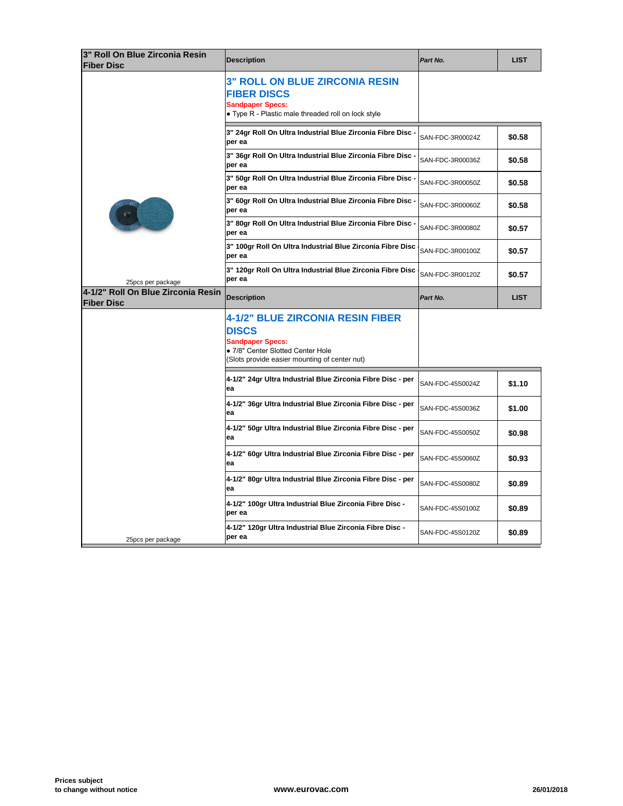| 3" Roll On Blue Zirconia Resin<br><b>Fiber Disc</b>     | <b>Description</b>                                                                                                                                                       | Part No.         |
|---------------------------------------------------------|--------------------------------------------------------------------------------------------------------------------------------------------------------------------------|------------------|
|                                                         | <b>3" ROLL ON BLUE ZIRCONIA RESIN</b><br><b>FIBER DISCS</b><br><b>Sandpaper Specs:</b><br>• Type R - Plastic male threaded roll on lock style                            |                  |
|                                                         | 3" 24gr Roll On Ultra Industrial Blue Zirconia Fibre Disc -<br>per ea                                                                                                    | SAN-FDC-3R00024Z |
|                                                         | 3" 36gr Roll On Ultra Industrial Blue Zirconia Fibre Disc -<br>per ea                                                                                                    | SAN-FDC-3R00036Z |
|                                                         | 3" 50gr Roll On Ultra Industrial Blue Zirconia Fibre Disc -<br>per ea                                                                                                    | SAN-FDC-3R00050Z |
|                                                         | 3" 60gr Roll On Ultra Industrial Blue Zirconia Fibre Disc -<br>per ea                                                                                                    | SAN-FDC-3R00060Z |
|                                                         | 3" 80gr Roll On Ultra Industrial Blue Zirconia Fibre Disc -<br>per ea                                                                                                    | SAN-FDC-3R00080Z |
|                                                         | 3" 100gr Roll On Ultra Industrial Blue Zirconia Fibre Disc<br>per ea                                                                                                     | SAN-FDC-3R00100Z |
| 25pcs per package                                       | 3" 120gr Roll On Ultra Industrial Blue Zirconia Fibre Disc<br>per ea                                                                                                     | SAN-FDC-3R00120Z |
| 4-1/2" Roll On Blue Zirconia Resin<br><b>Fiber Disc</b> | <b>Description</b>                                                                                                                                                       | Part No.         |
|                                                         | <b>4-1/2" BLUE ZIRCONIA RESIN FIBER</b><br><b>DISCS</b><br><b>Sandpaper Specs:</b><br>· 7/8" Center Slotted Center Hole<br>(Slots provide easier mounting of center nut) |                  |
|                                                         | 4-1/2" 24gr Ultra Industrial Blue Zirconia Fibre Disc - per<br>ea                                                                                                        | SAN-FDC-45S0024Z |
|                                                         | 4-1/2" 36gr Ultra Industrial Blue Zirconia Fibre Disc - per<br>ea                                                                                                        | SAN-FDC-45S0036Z |
|                                                         | 4-1/2" 50gr Ultra Industrial Blue Zirconia Fibre Disc - per<br>ea                                                                                                        | SAN-FDC-45S0050Z |
|                                                         | 4-1/2" 60gr Ultra Industrial Blue Zirconia Fibre Disc - per<br>ea                                                                                                        | SAN-FDC-45S0060Z |
|                                                         | 4-1/2" 80gr Ultra Industrial Blue Zirconia Fibre Disc - per<br>ea                                                                                                        | SAN-FDC-45S0080Z |
|                                                         | 4-1/2" 100gr Ultra Industrial Blue Zirconia Fibre Disc -<br>per ea                                                                                                       | SAN-FDC-45S0100Z |
|                                                         |                                                                                                                                                                          |                  |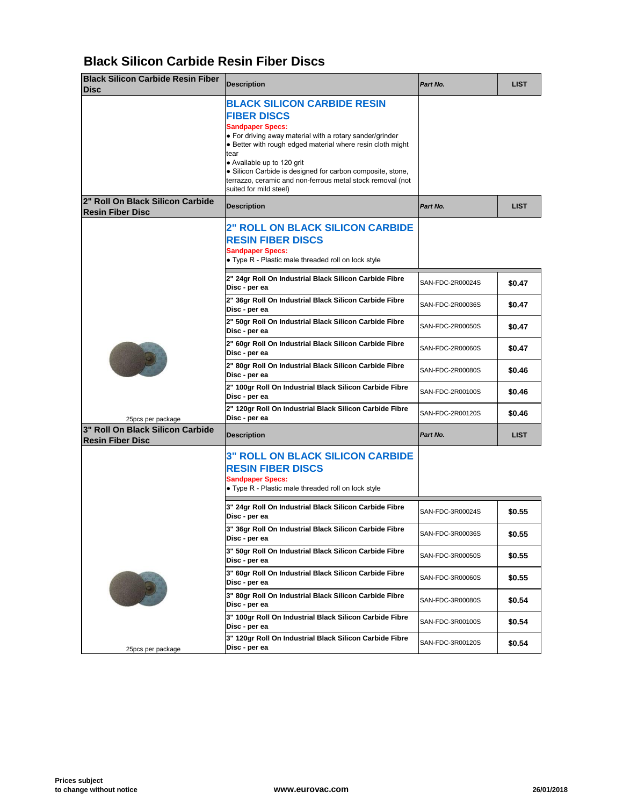### **Black Silicon Carbide Resin Fiber Discs**

| <b>Black Silicon Carbide Resin Fiber</b><br><b>Disc</b>     | <b>Description</b>                                                                                                                                                                                                                                                                                                                                                                                        | Part No.         |  |
|-------------------------------------------------------------|-----------------------------------------------------------------------------------------------------------------------------------------------------------------------------------------------------------------------------------------------------------------------------------------------------------------------------------------------------------------------------------------------------------|------------------|--|
|                                                             | <b>BLACK SILICON CARBIDE RESIN</b><br><b>FIBER DISCS</b><br><b>Sandpaper Specs:</b><br>• For driving away material with a rotary sander/grinder<br>• Better with rough edged material where resin cloth might<br>tear<br>• Available up to 120 grit<br>• Silicon Carbide is designed for carbon composite, stone,<br>terrazzo, ceramic and non-ferrous metal stock removal (not<br>suited for mild steel) |                  |  |
| 2" Roll On Black Silicon Carbide<br><b>Resin Fiber Disc</b> | <b>Description</b>                                                                                                                                                                                                                                                                                                                                                                                        | Part No.         |  |
|                                                             | <b>2" ROLL ON BLACK SILICON CARBIDE</b><br><b>RESIN FIBER DISCS</b><br><b>Sandpaper Specs:</b><br>• Type R - Plastic male threaded roll on lock style                                                                                                                                                                                                                                                     |                  |  |
|                                                             | 2" 24gr Roll On Industrial Black Silicon Carbide Fibre<br>Disc - per ea                                                                                                                                                                                                                                                                                                                                   | SAN-FDC-2R00024S |  |
|                                                             | 2" 36gr Roll On Industrial Black Silicon Carbide Fibre<br>Disc - per ea                                                                                                                                                                                                                                                                                                                                   | SAN-FDC-2R00036S |  |
|                                                             | 2" 50gr Roll On Industrial Black Silicon Carbide Fibre<br>Disc - per ea                                                                                                                                                                                                                                                                                                                                   | SAN-FDC-2R00050S |  |
|                                                             | 2" 60gr Roll On Industrial Black Silicon Carbide Fibre<br>Disc - per ea                                                                                                                                                                                                                                                                                                                                   | SAN-FDC-2R00060S |  |
|                                                             | 2" 80gr Roll On Industrial Black Silicon Carbide Fibre<br>Disc - per ea                                                                                                                                                                                                                                                                                                                                   | SAN-FDC-2R00080S |  |
|                                                             | 2" 100gr Roll On Industrial Black Silicon Carbide Fibre<br>Disc - per ea                                                                                                                                                                                                                                                                                                                                  | SAN-FDC-2R00100S |  |
| 25pcs per package                                           | 2" 120gr Roll On Industrial Black Silicon Carbide Fibre<br>Disc - per ea                                                                                                                                                                                                                                                                                                                                  | SAN-FDC-2R00120S |  |
| 3" Roll On Black Silicon Carbide<br><b>Resin Fiber Disc</b> | <b>Description</b>                                                                                                                                                                                                                                                                                                                                                                                        | Part No.         |  |
|                                                             | <b>3" ROLL ON BLACK SILICON CARBIDE</b><br><b>RESIN FIBER DISCS</b><br><b>Sandpaper Specs:</b><br>• Type R - Plastic male threaded roll on lock style                                                                                                                                                                                                                                                     |                  |  |
|                                                             | 3" 24gr Roll On Industrial Black Silicon Carbide Fibre<br>Disc - per ea                                                                                                                                                                                                                                                                                                                                   | SAN-FDC-3R00024S |  |
|                                                             | 3" 36gr Roll On Industrial Black Silicon Carbide Fibre<br>Disc - per ea                                                                                                                                                                                                                                                                                                                                   | SAN-FDC-3R00036S |  |
|                                                             | 3" 50gr Roll On Industrial Black Silicon Carbide Fibre<br>Disc - per ea                                                                                                                                                                                                                                                                                                                                   | SAN-FDC-3R00050S |  |
|                                                             | 3" 60gr Roll On Industrial Black Silicon Carbide Fibre<br>Disc - per ea                                                                                                                                                                                                                                                                                                                                   | SAN-FDC-3R00060S |  |
|                                                             | 3" 80gr Roll On Industrial Black Silicon Carbide Fibre<br>Disc - per ea                                                                                                                                                                                                                                                                                                                                   | SAN-FDC-3R00080S |  |
|                                                             | 3" 100gr Roll On Industrial Black Silicon Carbide Fibre<br>Disc - per ea                                                                                                                                                                                                                                                                                                                                  | SAN-FDC-3R00100S |  |
| 25pcs per package                                           | 3" 120gr Roll On Industrial Black Silicon Carbide Fibre<br>Disc - per ea                                                                                                                                                                                                                                                                                                                                  | SAN-FDC-3R00120S |  |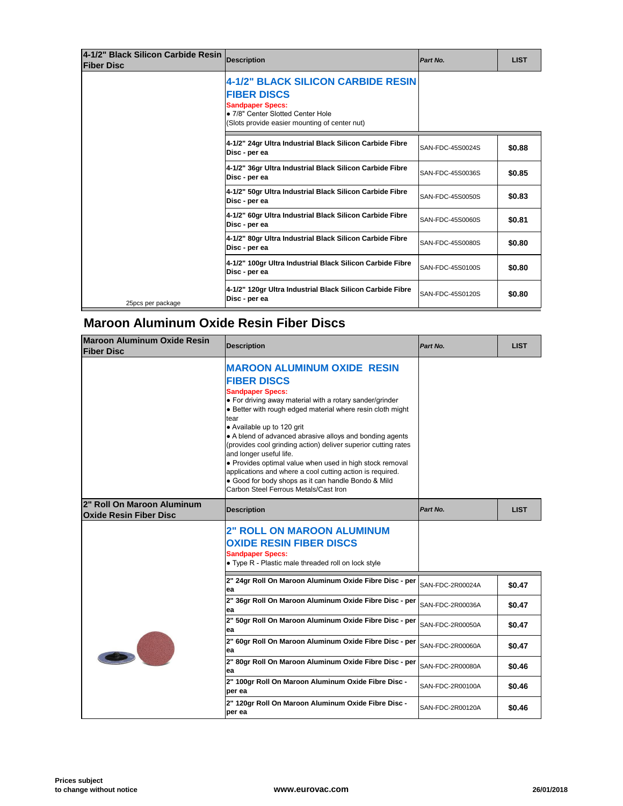| 4-1/2" Black Silicon Carbide Resin<br><b>Fiber Disc</b> | <b>Description</b>                                                                                                                                                               | Part No.         |  |
|---------------------------------------------------------|----------------------------------------------------------------------------------------------------------------------------------------------------------------------------------|------------------|--|
|                                                         | <b>4-1/2" BLACK SILICON CARBIDE RESIN</b><br><b>FIBER DISCS</b><br><b>Sandpaper Specs:</b><br>• 7/8" Center Slotted Center Hole<br>(Slots provide easier mounting of center nut) |                  |  |
|                                                         | 4-1/2" 24gr Ultra Industrial Black Silicon Carbide Fibre<br>Disc - per ea                                                                                                        | SAN-FDC-45S0024S |  |
|                                                         | 4-1/2" 36gr Ultra Industrial Black Silicon Carbide Fibre<br>Disc - per ea                                                                                                        | SAN-FDC-45S0036S |  |
|                                                         | 4-1/2" 50gr Ultra Industrial Black Silicon Carbide Fibre<br>Disc - per ea                                                                                                        | SAN-FDC-45S0050S |  |
|                                                         | 4-1/2" 60gr Ultra Industrial Black Silicon Carbide Fibre<br>Disc - per ea                                                                                                        | SAN-FDC-45S0060S |  |
|                                                         | 4-1/2" 80gr Ultra Industrial Black Silicon Carbide Fibre<br>Disc - per ea                                                                                                        | SAN-FDC-45S0080S |  |
|                                                         | 4-1/2" 100gr Ultra Industrial Black Silicon Carbide Fibre<br>Disc - per ea                                                                                                       | SAN-FDC-45S0100S |  |
| 25pcs per package                                       | 4-1/2" 120gr Ultra Industrial Black Silicon Carbide Fibre<br>Disc - per ea                                                                                                       | SAN-FDC-45S0120S |  |

### **Maroon Aluminum Oxide Resin Fiber Discs**

| <b>Maroon Aluminum Oxide Resin</b><br><b>Fiber Disc</b>     | <b>Description</b>                                                                                                                                                                                                                                                                                                                                                                                                                                                                                                                                                                                                                    | Part No.         |  |
|-------------------------------------------------------------|---------------------------------------------------------------------------------------------------------------------------------------------------------------------------------------------------------------------------------------------------------------------------------------------------------------------------------------------------------------------------------------------------------------------------------------------------------------------------------------------------------------------------------------------------------------------------------------------------------------------------------------|------------------|--|
|                                                             | <b>MAROON ALUMINUM OXIDE RESIN</b><br><b>FIBER DISCS</b><br><b>Sandpaper Specs:</b><br>• For driving away material with a rotary sander/grinder<br>• Better with rough edged material where resin cloth might<br>tear<br>• Available up to 120 grit<br>• A blend of advanced abrasive alloys and bonding agents<br>(provides cool grinding action) deliver superior cutting rates<br>and longer useful life.<br>• Provides optimal value when used in high stock removal<br>applications and where a cool cutting action is required.<br>• Good for body shops as it can handle Bondo & Mild<br>Carbon Steel Ferrous Metals/Cast Iron |                  |  |
| 2" Roll On Maroon Aluminum<br><b>Oxide Resin Fiber Disc</b> | <b>Description</b>                                                                                                                                                                                                                                                                                                                                                                                                                                                                                                                                                                                                                    | Part No.         |  |
|                                                             | <b>2" ROLL ON MAROON ALUMINUM</b><br><b>OXIDE RESIN FIBER DISCS</b><br><b>Sandpaper Specs:</b><br>• Type R - Plastic male threaded roll on lock style                                                                                                                                                                                                                                                                                                                                                                                                                                                                                 |                  |  |
|                                                             | 2" 24gr Roll On Maroon Aluminum Oxide Fibre Disc - per<br>ea                                                                                                                                                                                                                                                                                                                                                                                                                                                                                                                                                                          | SAN-FDC-2R00024A |  |
|                                                             | 2" 36gr Roll On Maroon Aluminum Oxide Fibre Disc - per<br>ea                                                                                                                                                                                                                                                                                                                                                                                                                                                                                                                                                                          | SAN-FDC-2R00036A |  |
|                                                             | 2" 50gr Roll On Maroon Aluminum Oxide Fibre Disc - per<br>ea                                                                                                                                                                                                                                                                                                                                                                                                                                                                                                                                                                          | SAN-FDC-2R00050A |  |
|                                                             | 2" 60gr Roll On Maroon Aluminum Oxide Fibre Disc - per<br>ea                                                                                                                                                                                                                                                                                                                                                                                                                                                                                                                                                                          | SAN-FDC-2R00060A |  |
|                                                             | 2" 80gr Roll On Maroon Aluminum Oxide Fibre Disc - per<br>ea                                                                                                                                                                                                                                                                                                                                                                                                                                                                                                                                                                          | SAN-FDC-2R00080A |  |
|                                                             | 2" 100gr Roll On Maroon Aluminum Oxide Fibre Disc -<br>per ea                                                                                                                                                                                                                                                                                                                                                                                                                                                                                                                                                                         | SAN-FDC-2R00100A |  |
|                                                             | 2" 120gr Roll On Maroon Aluminum Oxide Fibre Disc -<br>per ea                                                                                                                                                                                                                                                                                                                                                                                                                                                                                                                                                                         | SAN-FDC-2R00120A |  |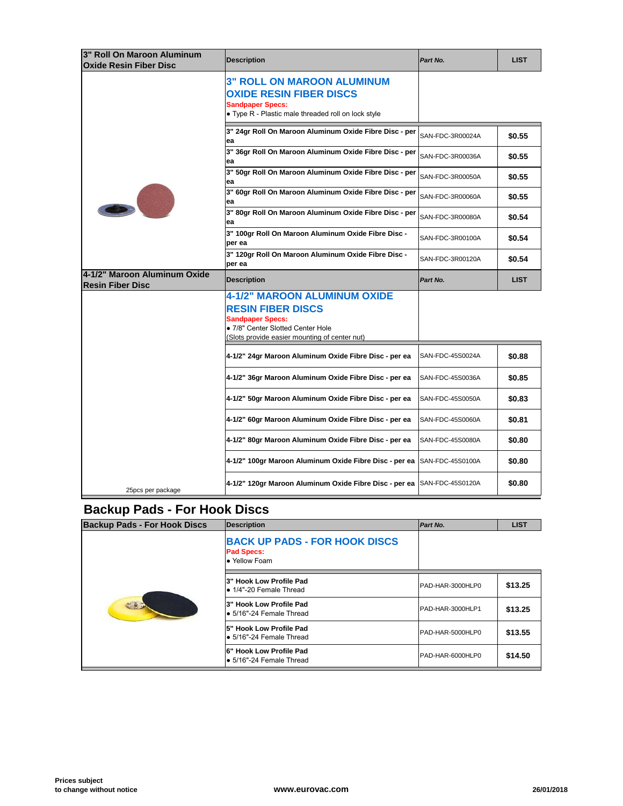| <b>Oxide Resin Fiber Disc</b>                           | <b>Description</b>                                                                                                                                    | Part No.         |  |
|---------------------------------------------------------|-------------------------------------------------------------------------------------------------------------------------------------------------------|------------------|--|
|                                                         | <b>3" ROLL ON MAROON ALUMINUM</b><br><b>OXIDE RESIN FIBER DISCS</b><br><b>Sandpaper Specs:</b><br>• Type R - Plastic male threaded roll on lock style |                  |  |
|                                                         | 3" 24gr Roll On Maroon Aluminum Oxide Fibre Disc - per<br>ea                                                                                          | SAN-FDC-3R00024A |  |
|                                                         | 3" 36gr Roll On Maroon Aluminum Oxide Fibre Disc - per<br>ea                                                                                          | SAN-FDC-3R00036A |  |
|                                                         | 3" 50gr Roll On Maroon Aluminum Oxide Fibre Disc - per<br>lea                                                                                         | SAN-FDC-3R00050A |  |
|                                                         | 3" 60gr Roll On Maroon Aluminum Oxide Fibre Disc - per<br>ea                                                                                          | SAN-FDC-3R00060A |  |
|                                                         | 3" 80gr Roll On Maroon Aluminum Oxide Fibre Disc - per<br>ea                                                                                          | SAN-FDC-3R00080A |  |
|                                                         | 3" 100gr Roll On Maroon Aluminum Oxide Fibre Disc -<br>per ea                                                                                         | SAN-FDC-3R00100A |  |
|                                                         | 3" 120gr Roll On Maroon Aluminum Oxide Fibre Disc -<br>per ea                                                                                         | SAN-FDC-3R00120A |  |
| 4-1/2" Maroon Aluminum Oxide<br><b>Resin Fiber Disc</b> | <b>Description</b>                                                                                                                                    | Part No.         |  |
|                                                         | 4-1/2" MAROON ALUMINUM OXIDE<br><b>RESIN FIBER DISCS</b>                                                                                              |                  |  |
|                                                         | <b>Sandpaper Specs:</b><br>· 7/8" Center Slotted Center Hole<br>(Slots provide easier mounting of center nut)                                         |                  |  |
|                                                         | 4-1/2" 24gr Maroon Aluminum Oxide Fibre Disc - per ea                                                                                                 | SAN-FDC-45S0024A |  |
|                                                         | 4-1/2" 36gr Maroon Aluminum Oxide Fibre Disc - per ea                                                                                                 | SAN-FDC-45S0036A |  |
|                                                         | 4-1/2" 50gr Maroon Aluminum Oxide Fibre Disc - per ea                                                                                                 | SAN-FDC-45S0050A |  |
|                                                         | 4-1/2" 60gr Maroon Aluminum Oxide Fibre Disc - per ea                                                                                                 | SAN-FDC-45S0060A |  |
|                                                         | 4-1/2" 80gr Maroon Aluminum Oxide Fibre Disc - per ea                                                                                                 | SAN-FDC-45S0080A |  |
|                                                         | 4-1/2" 100gr Maroon Aluminum Oxide Fibre Disc - per ea                                                                                                | SAN-FDC-45S0100A |  |

## **Backup Pads - For Hook Discs**

| <b>Backup Pads - For Hook Discs</b> | Description                                                                | <b>Part No.</b>  |  |
|-------------------------------------|----------------------------------------------------------------------------|------------------|--|
| 283                                 | <b>BACK UP PADS - FOR HOOK DISCS</b><br><b>Pad Specs:</b><br>• Yellow Foam |                  |  |
|                                     | 3" Hook Low Profile Pad<br>• 1/4"-20 Female Thread                         | PAD-HAR-3000HLP0 |  |
|                                     | 3" Hook Low Profile Pad<br>• 5/16"-24 Female Thread                        | PAD-HAR-3000HLP1 |  |
|                                     | 5" Hook Low Profile Pad<br>• 5/16"-24 Female Thread                        | PAD-HAR-5000HLP0 |  |
|                                     | 6" Hook Low Profile Pad<br>• 5/16"-24 Female Thread                        | PAD-HAR-6000HLP0 |  |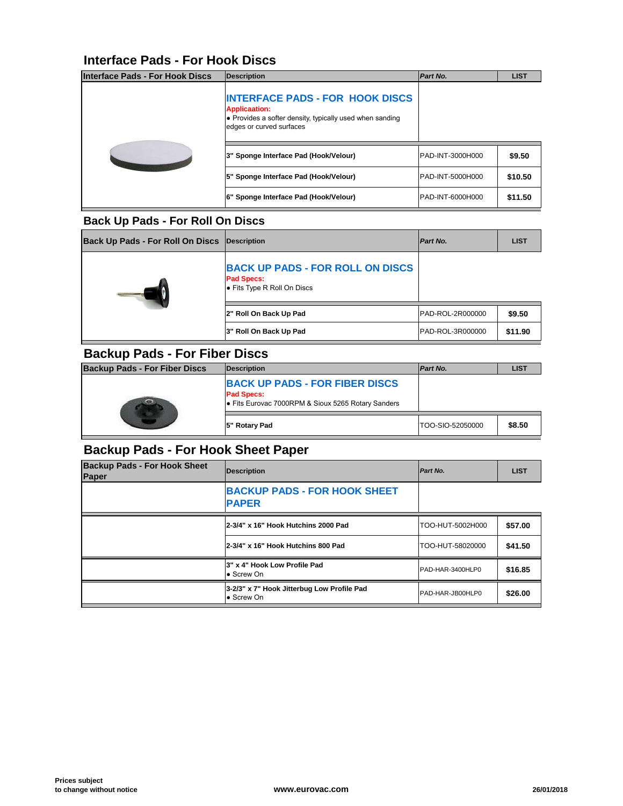#### **Interface Pads - For Hook Discs**

| <b>Interface Pads - For Hook Discs</b> | <b>Description</b>                                                                                                                                     | <b>Part No.</b>   |  |
|----------------------------------------|--------------------------------------------------------------------------------------------------------------------------------------------------------|-------------------|--|
|                                        | <b>INTERFACE PADS - FOR HOOK DISCS</b><br><b>Applicaation:</b><br>• Provides a softer density, typically used when sanding<br>edges or curved surfaces |                   |  |
|                                        | 3" Sponge Interface Pad (Hook/Velour)                                                                                                                  | PAD-INT-3000H000  |  |
|                                        | 5" Sponge Interface Pad (Hook/Velour)                                                                                                                  | IPAD-INT-5000H000 |  |
|                                        | 6" Sponge Interface Pad (Hook/Velour)                                                                                                                  | PAD-INT-6000H000  |  |

#### **Back Up Pads - For Roll On Discs**

| Back Up Pads - For Roll On Discs   Description |                                                                                             | <b>Part No.</b>  |  |
|------------------------------------------------|---------------------------------------------------------------------------------------------|------------------|--|
|                                                | <b>BACK UP PADS - FOR ROLL ON DISCS</b><br><b>Pad Specs:</b><br>● Fits Type R Roll On Discs |                  |  |
|                                                | 2" Roll On Back Up Pad                                                                      | PAD-ROL-2R000000 |  |
|                                                | 3" Roll On Back Up Pad                                                                      | PAD-ROL-3R000000 |  |

#### **Backup Pads - For Fiber Discs**

| <b>Backup Pads - For Fiber Discs</b> | <b>IDescription</b>                                                                                              | <b>Part No.</b>  |  |
|--------------------------------------|------------------------------------------------------------------------------------------------------------------|------------------|--|
|                                      | <b>BACK UP PADS - FOR FIBER DISCS</b><br><b>Pad Specs:</b><br>• Fits Eurovac 7000RPM & Sioux 5265 Rotary Sanders |                  |  |
|                                      | 5" Rotary Pad                                                                                                    | TOO-SIO-52050000 |  |

#### **Backup Pads - For Hook Sheet Paper**

| <b>Backup Pads - For Hook Sheet</b><br>Paper | <b>Description</b>                                       | Part No.         |  |
|----------------------------------------------|----------------------------------------------------------|------------------|--|
|                                              | <b>BACKUP PADS - FOR HOOK SHEET</b><br><b>PAPER</b>      |                  |  |
|                                              | 2-3/4" x 16" Hook Hutchins 2000 Pad                      | TOO-HUT-5002H000 |  |
|                                              | 2-3/4" x 16" Hook Hutchins 800 Pad                       | TOO-HUT-58020000 |  |
|                                              | 3" x 4" Hook Low Profile Pad<br>• Screw On               | PAD-HAR-3400HLP0 |  |
|                                              | 3-2/3" x 7" Hook Jitterbug Low Profile Pad<br>• Screw On | PAD-HAR-JB00HLP0 |  |